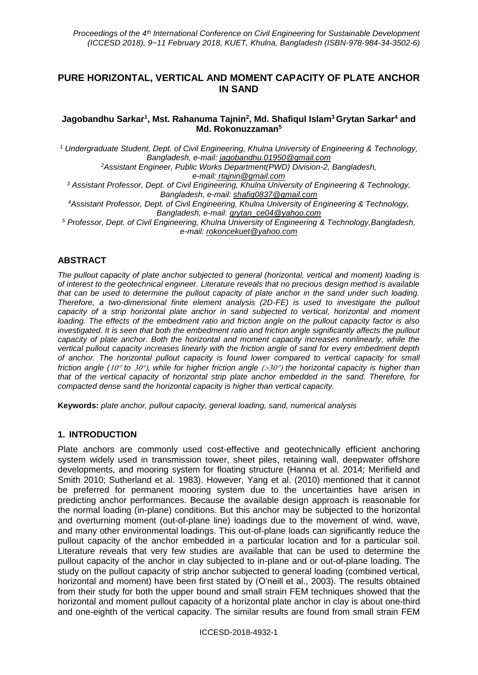# **PURE HORIZONTAL, VERTICAL AND MOMENT CAPACITY OF PLATE ANCHOR IN SAND**

### **Jagobandhu Sarkar<sup>1</sup> , Mst. Rahanuma Tajnin<sup>2</sup> , Md. Shafiqul Islam<sup>3</sup>Grytan Sarkar<sup>4</sup> and Md. Rokonuzzaman<sup>5</sup>**

<sup>1</sup> *Undergraduate Student, Dept. of Civil Engineering, Khulna University of Engineering & Technology, Bangladesh, e-mail: [jagobandhu.01950@gmail.com](mailto:jagobandhu.01950@gmail.com) <sup>2</sup>Assistant Engineer, Public Works Department(PWD) Division-2, Bangladesh, e-mail: rtajnin@gmail.com <sup>3</sup> Assistant Professor, Dept. of Civil Engineering, Khulna University of Engineering & Technology, Bangladesh, e-mail: [shafiq0837@gmail.com](mailto:shafiq0837@gmail.com) <sup>4</sup>Assistant Professor, Dept. of Civil Engineering, Khulna University of Engineering & Technology, Bangladesh, e-mail: [grytan\\_ce04@yahoo.com](mailto:grytan_ce04@yahoo.com) <sup>5</sup> Professor, Dept. of Civil Engineering, Khulna University of Engineering & Technology,Bangladesh, e-mail: rokoncekuet@yahoo.com*

# **ABSTRACT**

*The pullout capacity of plate anchor subjected to general (horizontal, vertical and moment) loading is of interest to the geotechnical engineer. Literature reveals that no precious design method is available that can be used to determine the pullout capacity of plate anchor in the sand under such loading. Therefore, a two-dimensional finite element analysis (2D-FE) is used to investigate the pullout capacity of a strip horizontal plate anchor in sand subjected to vertical, horizontal and moment loading. The effects of the embedment ratio and friction angle on the pullout capacity factor is also investigated. It is seen that both the embedment ratio and friction angle significantly affects the pullout capacity of plate anchor. Both the horizontal and moment capacity increases nonlinearly, while the vertical pullout capacity increases linearly with the friction angle of sand for every embedment depth of anchor. The horizontal pullout capacity is found lower compared to vertical capacity for small friction angle (10° to 30°), while for higher friction angle*  $(>30°)$  *the horizontal capacity is higher than that of the vertical capacity of horizontal strip plate anchor embedded in the sand. Therefore, for compacted dense sand the horizontal capacity is higher than vertical capacity.*

**Keywords:** *plate anchor, pullout capacity, general loading, sand, numerical analysis*

## **1. INTRODUCTION**

Plate anchors are commonly used cost-effective and geotechnically efficient anchoring system widely used in transmission tower, sheet piles, retaining wall, deepwater offshore developments, and mooring system for floating structure (Hanna et al. 2014; Merifield and Smith 2010; Sutherland et al. 1983). However, Yang et al. (2010) mentioned that it cannot be preferred for permanent mooring system due to the uncertainties have arisen in predicting anchor performances. Because the available design approach is reasonable for the normal loading (in-plane) conditions. But this anchor may be subjected to the horizontal and overturning moment (out-of-plane line) loadings due to the movement of wind, wave, and many other environmental loadings. This out-of-plane loads can significantly reduce the pullout capacity of the anchor embedded in a particular location and for a particular soil. Literature reveals that very few studies are available that can be used to determine the pullout capacity of the anchor in clay subjected to in-plane and or out-of-plane loading. The study on the pullout capacity of strip anchor subjected to general loading (combined vertical, horizontal and moment) have been first stated by (O'neill et al., 2003). The results obtained from their study for both the upper bound and small strain FEM techniques showed that the horizontal and moment pullout capacity of a horizontal plate anchor in clay is about one-third and one-eighth of the vertical capacity. The similar results are found from small strain FEM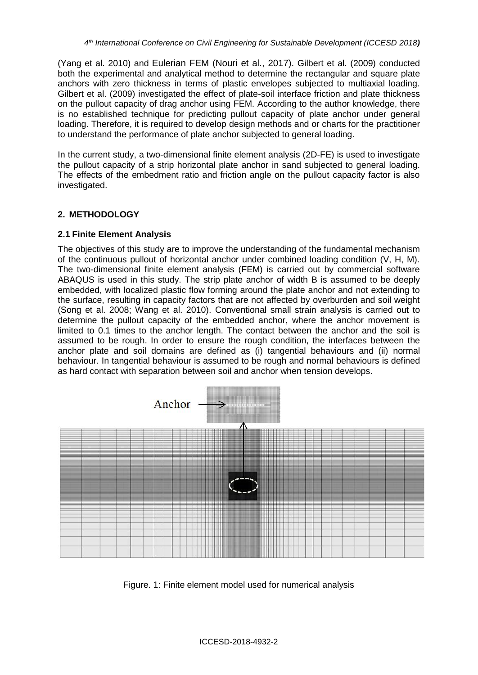(Yang et al. 2010) and Eulerian FEM (Nouri et al., 2017). Gilbert et al. (2009) conducted both the experimental and analytical method to determine the rectangular and square plate anchors with zero thickness in terms of plastic envelopes subjected to multiaxial loading. Gilbert et al. (2009) investigated the effect of plate-soil interface friction and plate thickness on the pullout capacity of drag anchor using FEM. According to the author knowledge, there is no established technique for predicting pullout capacity of plate anchor under general loading. Therefore, it is required to develop design methods and or charts for the practitioner to understand the performance of plate anchor subjected to general loading.

In the current study, a two-dimensional finite element analysis (2D-FE) is used to investigate the pullout capacity of a strip horizontal plate anchor in sand subjected to general loading. The effects of the embedment ratio and friction angle on the pullout capacity factor is also investigated.

# **2. METHODOLOGY**

## **2.1 Finite Element Analysis**

The objectives of this study are to improve the understanding of the fundamental mechanism of the continuous pullout of horizontal anchor under combined loading condition (V, H, M). The two-dimensional finite element analysis (FEM) is carried out by commercial software ABAQUS is used in this study. The strip plate anchor of width B is assumed to be deeply embedded, with localized plastic flow forming around the plate anchor and not extending to the surface, resulting in capacity factors that are not affected by overburden and soil weight (Song et al. 2008; Wang et al. 2010). Conventional small strain analysis is carried out to determine the pullout capacity of the embedded anchor, where the anchor movement is limited to 0.1 times to the anchor length. The contact between the anchor and the soil is assumed to be rough. In order to ensure the rough condition, the interfaces between the anchor plate and soil domains are defined as (i) tangential behaviours and (ii) normal behaviour. In tangential behaviour is assumed to be rough and normal behaviours is defined as hard contact with separation between soil and anchor when tension develops.



Figure. 1: Finite element model used for numerical analysis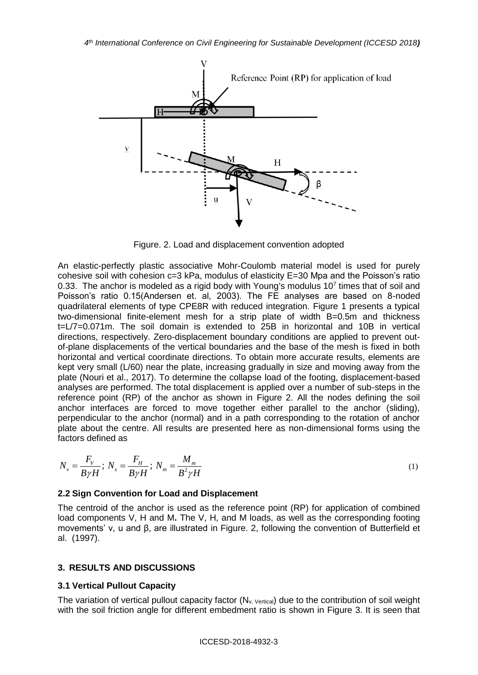

Figure. 2. Load and displacement convention adopted

An elastic-perfectly plastic associative Mohr-Coulomb material model is used for purely cohesive soil with cohesion c=3 kPa, modulus of elasticity E=30 Mpa and the Poisson's ratio 0.33. The anchor is modeled as a rigid body with Young's modulus  $10<sup>7</sup>$  times that of soil and Poisson's ratio 0.15(Andersen et. al, 2003). The FE analyses are based on 8-noded quadrilateral elements of type CPE8R with reduced integration. Figure 1 presents a typical two-dimensional finite-element mesh for a strip plate of width B=0.5m and thickness t=L/7=0.071m. The soil domain is extended to 25B in horizontal and 10B in vertical directions, respectively. Zero-displacement boundary conditions are applied to prevent outof-plane displacements of the vertical boundaries and the base of the mesh is fixed in both horizontal and vertical coordinate directions. To obtain more accurate results, elements are kept very small (L/60) near the plate, increasing gradually in size and moving away from the plate (Nouri et al., 2017). To determine the collapse load of the footing, displacement-based analyses are performed. The total displacement is applied over a number of sub-steps in the reference point (RP) of the anchor as shown in Figure 2. All the nodes defining the soil anchor interfaces are forced to move together either parallel to the anchor (sliding), perpendicular to the anchor (normal) and in a path corresponding to the rotation of anchor plate about the centre. All results are presented here as non-dimensional forms using the factors defined as

$$
N_{\nu} = \frac{F_V}{B\gamma H}; N_s = \frac{F_H}{B\gamma H}; N_m = \frac{M_m}{B^2 \gamma H}
$$
\n<sup>(1)</sup>

### **2.2 Sign Convention for Load and Displacement**

The centroid of the anchor is used as the reference point (RP) for application of combined load components V, H and M**.** The V, H, and M loads, as well as the corresponding footing movements' v, u and β, are illustrated in Figure. 2, following the convention of Butterfield et al. (1997).

### **3. RESULTS AND DISCUSSIONS**

#### **3.1 Vertical Pullout Capacity**

The variation of vertical pullout capacity factor  $(N_{v, Vertical})$  due to the contribution of soil weight with the soil friction angle for different embedment ratio is shown in Figure 3. It is seen that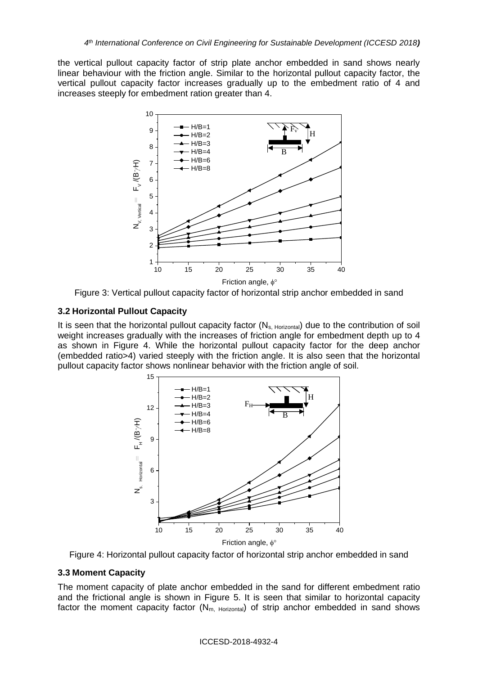the vertical pullout capacity factor of strip plate anchor embedded in sand shows nearly linear behaviour with the friction angle. Similar to the horizontal pullout capacity factor, the vertical pullout capacity factor increases gradually up to the embedment ratio of 4 and increases steeply for embedment ration greater than 4.



Figure 3: Vertical pullout capacity factor of horizontal strip anchor embedded in sand

# **3.2 Horizontal Pullout Capacity**

It is seen that the horizontal pullout capacity factor  $(N_{s, Horizontal})$  due to the contribution of soil weight increases gradually with the increases of friction angle for embedment depth up to 4 as shown in Figure 4. While the horizontal pullout capacity factor for the deep anchor (embedded ratio>4) varied steeply with the friction angle. It is also seen that the horizontal pullout capacity factor shows nonlinear behavior with the friction angle of soil.



Figure 4: Horizontal pullout capacity factor of horizontal strip anchor embedded in sand

## **3.3 Moment Capacity**

The moment capacity of plate anchor embedded in the sand for different embedment ratio and the frictional angle is shown in Figure 5. It is seen that similar to horizontal capacity factor the moment capacity factor  $(N_{m, Horizontal})$  of strip anchor embedded in sand shows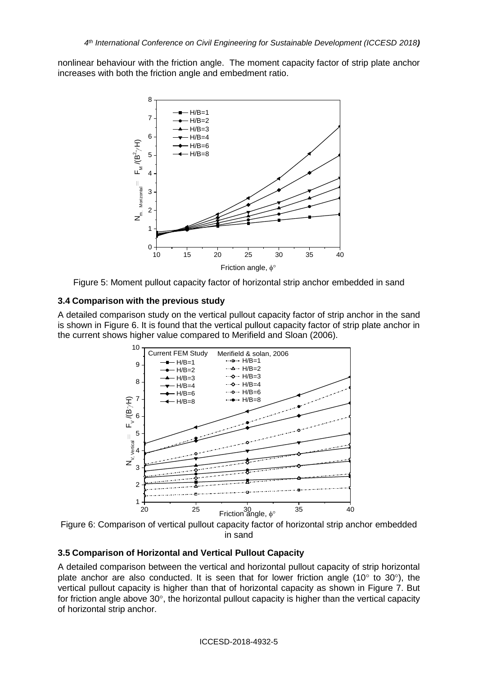nonlinear behaviour with the friction angle. The moment capacity factor of strip plate anchor increases with both the friction angle and embedment ratio.





## **3.4 Comparison with the previous study**

A detailed comparison study on the vertical pullout capacity factor of strip anchor in the sand is shown in Figure 6. It is found that the vertical pullout capacity factor of strip plate anchor in the current shows higher value compared to Merifield and Sloan (2006).



Figure 6: Comparison of vertical pullout capacity factor of horizontal strip anchor embedded in sand

## **3.5 Comparison of Horizontal and Vertical Pullout Capacity**

A detailed comparison between the vertical and horizontal pullout capacity of strip horizontal plate anchor are also conducted. It is seen that for lower friction angle (10 $^{\circ}$  to 30 $^{\circ}$ ), the vertical pullout capacity is higher than that of horizontal capacity as shown in Figure 7. But for friction angle above  $30^{\circ}$ , the horizontal pullout capacity is higher than the vertical capacity of horizontal strip anchor.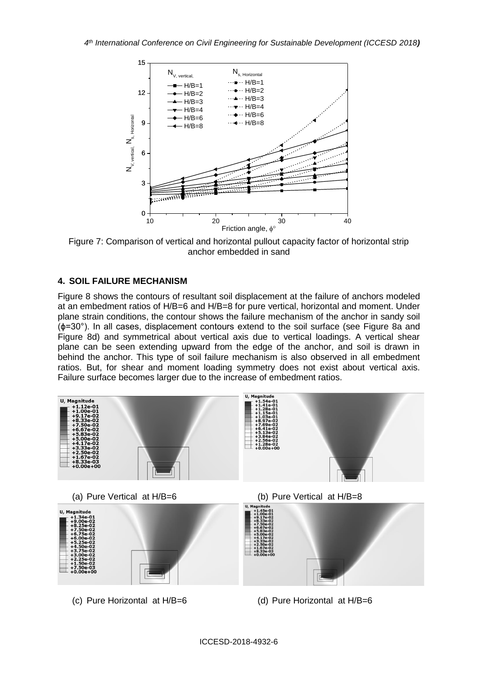

Figure 7: Comparison of vertical and horizontal pullout capacity factor of horizontal strip anchor embedded in sand

# **4. SOIL FAILURE MECHANISM**

Figure 8 shows the contours of resultant soil displacement at the failure of anchors modeled at an embedment ratios of H/B=6 and H/B=8 for pure vertical, horizontal and moment. Under plane strain conditions, the contour shows the failure mechanism of the anchor in sandy soil (ϕ=30°). In all cases, displacement contours extend to the soil surface (see Figure 8a and Figure 8d) and symmetrical about vertical axis due to vertical loadings. A vertical shear plane can be seen extending upward from the edge of the anchor, and soil is drawn in behind the anchor. This type of soil failure mechanism is also observed in all embedment ratios. But, for shear and moment loading symmetry does not exist about vertical axis. Failure surface becomes larger due to the increase of embedment ratios.

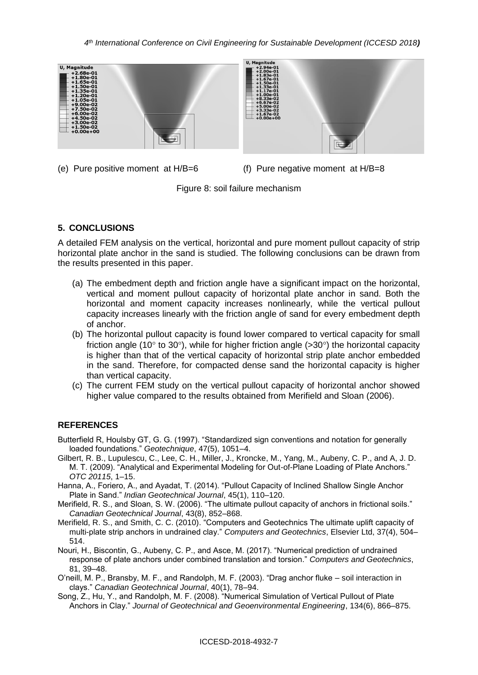

(e) Pure positive moment at  $H/B=6$  (f) Pure negative moment at  $H/B=8$ 

Figure 8: soil failure mechanism

# **5. CONCLUSIONS**

A detailed FEM analysis on the vertical, horizontal and pure moment pullout capacity of strip horizontal plate anchor in the sand is studied. The following conclusions can be drawn from the results presented in this paper.

- (a) The embedment depth and friction angle have a significant impact on the horizontal, vertical and moment pullout capacity of horizontal plate anchor in sand. Both the horizontal and moment capacity increases nonlinearly, while the vertical pullout capacity increases linearly with the friction angle of sand for every embedment depth of anchor.
- (b) The horizontal pullout capacity is found lower compared to vertical capacity for small friction angle (10 $\degree$  to 30 $\degree$ ), while for higher friction angle (>30 $\degree$ ) the horizontal capacity is higher than that of the vertical capacity of horizontal strip plate anchor embedded in the sand. Therefore, for compacted dense sand the horizontal capacity is higher than vertical capacity.
- (c) The current FEM study on the vertical pullout capacity of horizontal anchor showed higher value compared to the results obtained from Merifield and Sloan (2006).

# **REFERENCES**

- Butterfield R, Houlsby GT, G. G. (1997). "Standardized sign conventions and notation for generally loaded foundations." *Geotechnique*, 47(5), 1051–4.
- Gilbert, R. B., Lupulescu, C., Lee, C. H., Miller, J., Kroncke, M., Yang, M., Aubeny, C. P., and A, J. D. M. T. (2009). "Analytical and Experimental Modeling for Out-of-Plane Loading of Plate Anchors." *OTC 20115*, 1–15.
- Hanna, A., Foriero, A., and Ayadat, T. (2014). "Pullout Capacity of Inclined Shallow Single Anchor Plate in Sand." *Indian Geotechnical Journal*, 45(1), 110–120.

Merifield, R. S., and Sloan, S. W. (2006). "The ultimate pullout capacity of anchors in frictional soils." *Canadian Geotechnical Journal*, 43(8), 852–868.

- Merifield, R. S., and Smith, C. C. (2010). "Computers and Geotechnics The ultimate uplift capacity of multi-plate strip anchors in undrained clay." *Computers and Geotechnics*, Elsevier Ltd, 37(4), 504– 514.
- Nouri, H., Biscontin, G., Aubeny, C. P., and Asce, M. (2017). "Numerical prediction of undrained response of plate anchors under combined translation and torsion." *Computers and Geotechnics*, 81, 39–48.
- O'neill, M. P., Bransby, M. F., and Randolph, M. F. (2003). "Drag anchor fluke soil interaction in clays." *Canadian Geotechnical Journal*, 40(1), 78–94.
- Song, Z., Hu, Y., and Randolph, M. F. (2008). "Numerical Simulation of Vertical Pullout of Plate Anchors in Clay." *Journal of Geotechnical and Geoenvironmental Engineering*, 134(6), 866–875.